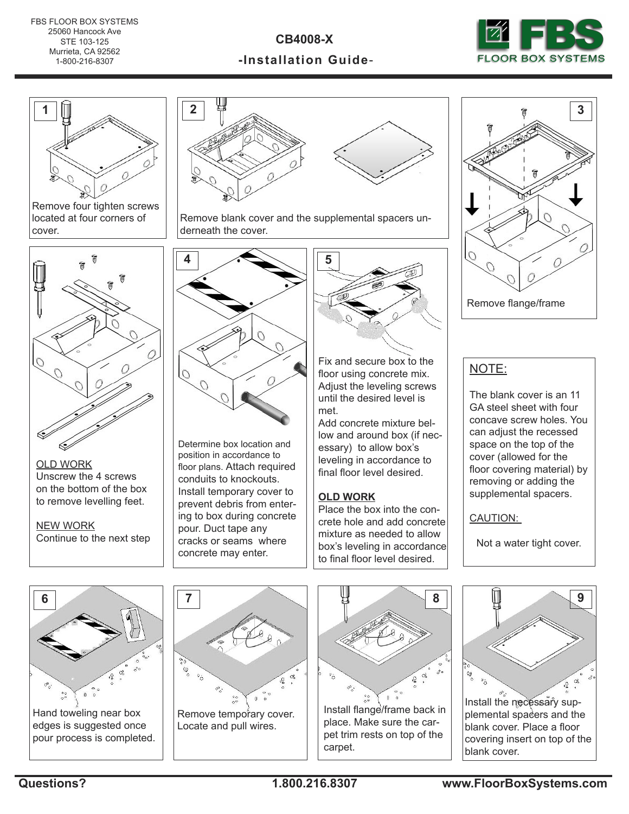**CB4008-X**





Remove four tighten screws located at four corners of cover.



OLD WORK Unscrew the 4 screws on the bottom of the box to remove levelling feet.

NEW WORK Continue to the next step



Remove blank cover and the supplemental spacers underneath the cover.



Determine box location and position in accordance to floor plans. Attach required conduits to knockouts. Install temporary cover to prevent debris from entering to box during concrete pour. Duct tape any cracks or seams where concrete may enter.



Fix and secure box to the floor using concrete mix. Adjust the leveling screws until the desired level is met.

Add concrete mixture bellow and around box (if necessary) to allow box's leveling in accordance to final floor level desired.

## **OLD WORK**

Place the box into the concrete hole and add concrete mixture as needed to allow box's leveling in accordance to final floor level desired.



Remove flange/frame

## NOTE:

The blank cover is an 11 GA steel sheet with four concave screw holes. You can adjust the recessed space on the top of the cover (allowed for the floor covering material) by removing or adding the supplemental spacers.

CAUTION:

Not a water tight cover.



edges is suggested once pour process is completed.





Install flange/frame back in place. Make sure the carpet trim rests on top of the carpet.



plemental spacers and the blank cover. Place a floor covering insert on top of the blank cover.